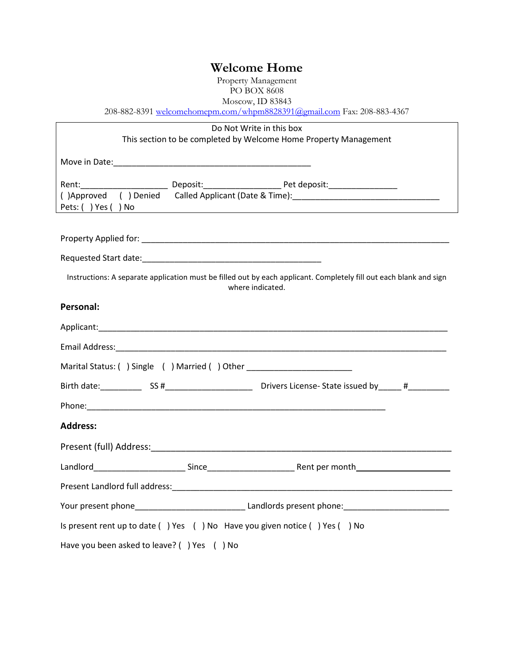## **Welcome Home**

Property Management PO BOX 8608

Moscow, ID 83843

[208-882-8391 welcomehomepm.com/whpm8828391@gmail.com](mailto:208-882-8391%20welcomehomepm.com/whpm8828391@gmail.com) Fax: 208-883-4367

| Do Not Write in this box                                                                                                               |  |                                                                                                                                                                                                                                |  |  |  |  |
|----------------------------------------------------------------------------------------------------------------------------------------|--|--------------------------------------------------------------------------------------------------------------------------------------------------------------------------------------------------------------------------------|--|--|--|--|
| This section to be completed by Welcome Home Property Management                                                                       |  |                                                                                                                                                                                                                                |  |  |  |  |
|                                                                                                                                        |  |                                                                                                                                                                                                                                |  |  |  |  |
|                                                                                                                                        |  | ()Approved () Denied Called Applicant (Date & Time): [10] Called Applicant (Date & Time): [20] Called Applicant (Date & Time): [20] Called Applicant Called Applicant Called Applicant Called Applicant Called Applicant Calle |  |  |  |  |
| Pets: () Yes () No                                                                                                                     |  | <u> 1989 - Johann Stein, mars an deus Amerikaansk kommunister (</u>                                                                                                                                                            |  |  |  |  |
|                                                                                                                                        |  |                                                                                                                                                                                                                                |  |  |  |  |
|                                                                                                                                        |  |                                                                                                                                                                                                                                |  |  |  |  |
| Instructions: A separate application must be filled out by each applicant. Completely fill out each blank and sign<br>where indicated. |  |                                                                                                                                                                                                                                |  |  |  |  |
| Personal:                                                                                                                              |  |                                                                                                                                                                                                                                |  |  |  |  |
|                                                                                                                                        |  |                                                                                                                                                                                                                                |  |  |  |  |
|                                                                                                                                        |  |                                                                                                                                                                                                                                |  |  |  |  |
| Marital Status: () Single () Married () Other __________________________________                                                       |  |                                                                                                                                                                                                                                |  |  |  |  |
|                                                                                                                                        |  |                                                                                                                                                                                                                                |  |  |  |  |
|                                                                                                                                        |  |                                                                                                                                                                                                                                |  |  |  |  |
| <b>Address:</b>                                                                                                                        |  |                                                                                                                                                                                                                                |  |  |  |  |
|                                                                                                                                        |  |                                                                                                                                                                                                                                |  |  |  |  |
|                                                                                                                                        |  |                                                                                                                                                                                                                                |  |  |  |  |
|                                                                                                                                        |  |                                                                                                                                                                                                                                |  |  |  |  |
|                                                                                                                                        |  |                                                                                                                                                                                                                                |  |  |  |  |
| Is present rent up to date () Yes () No Have you given notice () Yes () No                                                             |  |                                                                                                                                                                                                                                |  |  |  |  |
| Have you been asked to leave? () Yes () No                                                                                             |  |                                                                                                                                                                                                                                |  |  |  |  |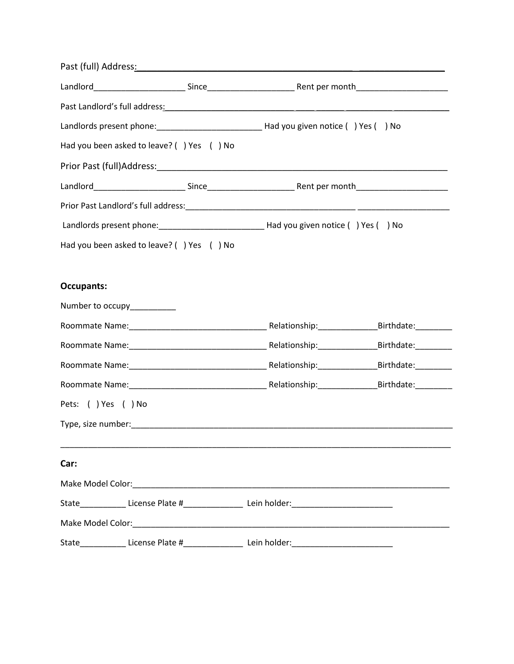|                    |                                           | Past (full) Address <u>: National Address of Additional Address of Additional Address of Additional Address of Additional Address of Address of Address of Additional Address of Additional Address of Additional Address of Addi</u> |  |
|--------------------|-------------------------------------------|---------------------------------------------------------------------------------------------------------------------------------------------------------------------------------------------------------------------------------------|--|
|                    |                                           |                                                                                                                                                                                                                                       |  |
|                    |                                           | Past Landlord's full address: Notified and Second Control of the Past Landlord's full address:                                                                                                                                        |  |
|                    |                                           |                                                                                                                                                                                                                                       |  |
|                    | Had you been asked to leave? () Yes () No |                                                                                                                                                                                                                                       |  |
|                    |                                           |                                                                                                                                                                                                                                       |  |
|                    |                                           |                                                                                                                                                                                                                                       |  |
|                    |                                           |                                                                                                                                                                                                                                       |  |
|                    |                                           |                                                                                                                                                                                                                                       |  |
|                    | Had you been asked to leave? () Yes () No |                                                                                                                                                                                                                                       |  |
|                    |                                           |                                                                                                                                                                                                                                       |  |
| <b>Occupants:</b>  |                                           |                                                                                                                                                                                                                                       |  |
|                    | Number to occupy__________                |                                                                                                                                                                                                                                       |  |
|                    |                                           |                                                                                                                                                                                                                                       |  |
|                    |                                           |                                                                                                                                                                                                                                       |  |
|                    |                                           |                                                                                                                                                                                                                                       |  |
|                    |                                           |                                                                                                                                                                                                                                       |  |
| Pets: () Yes () No |                                           |                                                                                                                                                                                                                                       |  |
|                    |                                           |                                                                                                                                                                                                                                       |  |
|                    |                                           |                                                                                                                                                                                                                                       |  |
| Car:               |                                           |                                                                                                                                                                                                                                       |  |
|                    |                                           |                                                                                                                                                                                                                                       |  |
|                    |                                           | State______________License Plate #____________________Lein holder:_________________________________                                                                                                                                   |  |
|                    |                                           |                                                                                                                                                                                                                                       |  |
|                    |                                           | State_____________ License Plate #___________________ Lein holder:_________________________________                                                                                                                                   |  |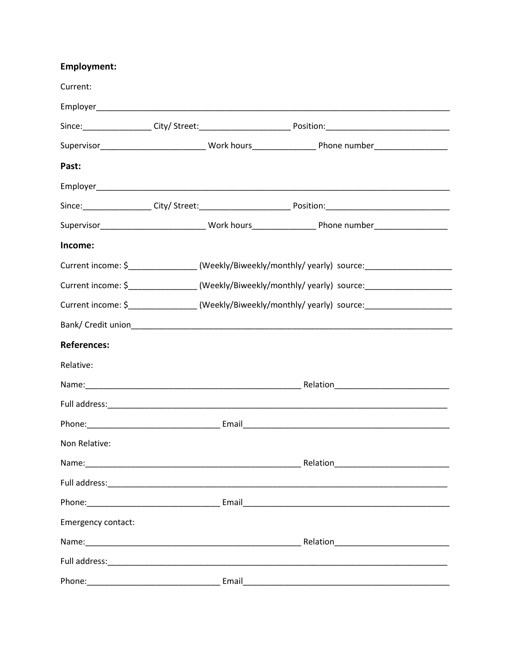## **Employment:**

| Current:                                                                                                                                                                                                                       |                                                                                                      |                                                                                                               |  |
|--------------------------------------------------------------------------------------------------------------------------------------------------------------------------------------------------------------------------------|------------------------------------------------------------------------------------------------------|---------------------------------------------------------------------------------------------------------------|--|
|                                                                                                                                                                                                                                |                                                                                                      |                                                                                                               |  |
|                                                                                                                                                                                                                                |                                                                                                      |                                                                                                               |  |
|                                                                                                                                                                                                                                |                                                                                                      |                                                                                                               |  |
| Past:                                                                                                                                                                                                                          |                                                                                                      |                                                                                                               |  |
|                                                                                                                                                                                                                                |                                                                                                      |                                                                                                               |  |
|                                                                                                                                                                                                                                |                                                                                                      |                                                                                                               |  |
|                                                                                                                                                                                                                                |                                                                                                      | Supervisor_____________________________Work hours________________________________                             |  |
| Income:                                                                                                                                                                                                                        |                                                                                                      |                                                                                                               |  |
|                                                                                                                                                                                                                                | Current income: \$__________________(Weekly/Biweekly/monthly/ yearly) source:_______________________ |                                                                                                               |  |
|                                                                                                                                                                                                                                | Current income: \$_________________(Weekly/Biweekly/monthly/ yearly) source:________________________ |                                                                                                               |  |
|                                                                                                                                                                                                                                | Current income: \$ _________________(Weekly/Biweekly/monthly/ yearly) source: ______________________ |                                                                                                               |  |
|                                                                                                                                                                                                                                |                                                                                                      |                                                                                                               |  |
| <b>References:</b>                                                                                                                                                                                                             |                                                                                                      |                                                                                                               |  |
| Relative:                                                                                                                                                                                                                      |                                                                                                      |                                                                                                               |  |
|                                                                                                                                                                                                                                |                                                                                                      |                                                                                                               |  |
|                                                                                                                                                                                                                                |                                                                                                      |                                                                                                               |  |
|                                                                                                                                                                                                                                |                                                                                                      |                                                                                                               |  |
| Non Relative:                                                                                                                                                                                                                  |                                                                                                      |                                                                                                               |  |
|                                                                                                                                                                                                                                |                                                                                                      |                                                                                                               |  |
|                                                                                                                                                                                                                                |                                                                                                      |                                                                                                               |  |
|                                                                                                                                                                                                                                |                                                                                                      |                                                                                                               |  |
| Emergency contact:                                                                                                                                                                                                             |                                                                                                      |                                                                                                               |  |
|                                                                                                                                                                                                                                |                                                                                                      |                                                                                                               |  |
|                                                                                                                                                                                                                                |                                                                                                      |                                                                                                               |  |
| Phone: The contract of the contract of the contract of the contract of the contract of the contract of the contract of the contract of the contract of the contract of the contract of the contract of the contract of the con |                                                                                                      | Email and the contract of the contract of the contract of the contract of the contract of the contract of the |  |